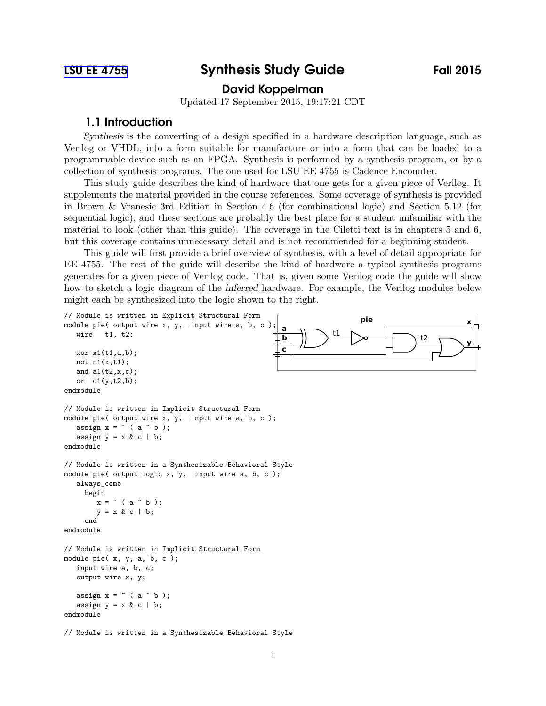# [LSU EE 4755](http://www.ece.lsu.edu/koppel/v/) Synthesis Study Guide Fall 2015

# David Koppelman

Updated 17 September 2015, 19:17:21 CDT

# 1.1 Introduction

Synthesis is the converting of a design specified in a hardware description language, such as Verilog or VHDL, into a form suitable for manufacture or into a form that can be loaded to a programmable device such as an FPGA. Synthesis is performed by a synthesis program, or by a collection of synthesis programs. The one used for LSU EE 4755 is Cadence Encounter.

This study guide describes the kind of hardware that one gets for a given piece of Verilog. It supplements the material provided in the course references. Some coverage of synthesis is provided in Brown & Vranesic 3rd Edition in Section 4.6 (for combinational logic) and Section 5.12 (for sequential logic), and these sections are probably the best place for a student unfamiliar with the material to look (other than this guide). The coverage in the Ciletti text is in chapters 5 and 6, but this coverage contains unnecessary detail and is not recommended for a beginning student.

This guide will first provide a brief overview of synthesis, with a level of detail appropriate for EE 4755. The rest of the guide will describe the kind of hardware a typical synthesis programs generates for a given piece of Verilog code. That is, given some Verilog code the guide will show how to sketch a logic diagram of the inferred hardware. For example, the Verilog modules below might each be synthesized into the logic shown to the right.

```
// Module is written in Explicit Structural Form<br>module pie<br>pie pie pie pie pie pie pie pie pie pie pie pie pie pie pie pie pie pie pie pie pie pie pie pie pie pie pie 
                                                                                                                    x
module pie( output wire x, y, input wire a, b, c
                                                               a
                                                             ⊕
                                                                              \bigcup t2
   wire t1, t2;
                                                               b
                                                            </u>
                                                                                                                     y
                                                            c
   xor x1(t1,a,b);not n1(x,t1);and a1(t2,x,c);
   or o1(y,t2,b);
endmodule
// Module is written in Implicit Structural Form
module pie( output wire x, y, input wire a, b, c );
   assign x = \tilde{ } (a \hat{ } b);
   assign y = x & c \mid b;endmodule
// Module is written in a Synthesizable Behavioral Style
module pie( output logic x, y, input wire a, b, c );
   always_comb
     begin
         x = \text{``} (a \text{ 'b)};
         y = x & c \mid b;end
endmodule
// Module is written in Implicit Structural Form
module pie( x, y, a, b, c );
   input wire a, b, c;
   output wire x, y;
   assign x = \tilde{ } (a \hat{ } b);
   assign y = x & c \mid b;
endmodule
```
// Module is written in a Synthesizable Behavioral Style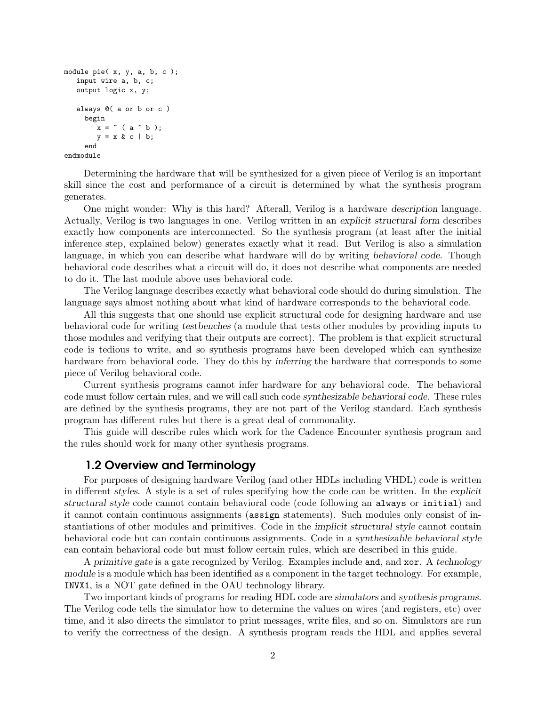```
module pie( x, y, a, b, c );
   input wire a, b, c;
   output logic x, y;
   always @( a or b or c )
     begin
        x = \infty ( a \cap b );
        y = x & c \mid b;end
endmodule
```
Determining the hardware that will be synthesized for a given piece of Verilog is an important skill since the cost and performance of a circuit is determined by what the synthesis program generates.

One might wonder: Why is this hard? Afterall, Verilog is a hardware description language. Actually, Verilog is two languages in one. Verilog written in an explicit structural form describes exactly how components are interconnected. So the synthesis program (at least after the initial inference step, explained below) generates exactly what it read. But Verilog is also a simulation language, in which you can describe what hardware will do by writing behavioral code. Though behavioral code describes what a circuit will do, it does not describe what components are needed to do it. The last module above uses behavioral code.

The Verilog language describes exactly what behavioral code should do during simulation. The language says almost nothing about what kind of hardware corresponds to the behavioral code.

All this suggests that one should use explicit structural code for designing hardware and use behavioral code for writing testbenches (a module that tests other modules by providing inputs to those modules and verifying that their outputs are correct). The problem is that explicit structural code is tedious to write, and so synthesis programs have been developed which can synthesize hardware from behavioral code. They do this by inferring the hardware that corresponds to some piece of Verilog behavioral code.

Current synthesis programs cannot infer hardware for any behavioral code. The behavioral code must follow certain rules, and we will call such code synthesizable behavioral code. These rules are defined by the synthesis programs, they are not part of the Verilog standard. Each synthesis program has different rules but there is a great deal of commonality.

This guide will describe rules which work for the Cadence Encounter synthesis program and the rules should work for many other synthesis programs.

### 1.2 Overview and Terminology

For purposes of designing hardware Verilog (and other HDLs including VHDL) code is written in different styles. A style is a set of rules specifying how the code can be written. In the explicit structural style code cannot contain behavioral code (code following an always or initial) and it cannot contain continuous assignments (assign statements). Such modules only consist of instantiations of other modules and primitives. Code in the implicit structural style cannot contain behavioral code but can contain continuous assignments. Code in a synthesizable behavioral style can contain behavioral code but must follow certain rules, which are described in this guide.

A primitive gate is a gate recognized by Verilog. Examples include and, and xor. A technology module is a module which has been identified as a component in the target technology. For example, INVX1, is a NOT gate defined in the OAU technology library.

Two important kinds of programs for reading HDL code are simulators and synthesis programs. The Verilog code tells the simulator how to determine the values on wires (and registers, etc) over time, and it also directs the simulator to print messages, write files, and so on. Simulators are run to verify the correctness of the design. A synthesis program reads the HDL and applies several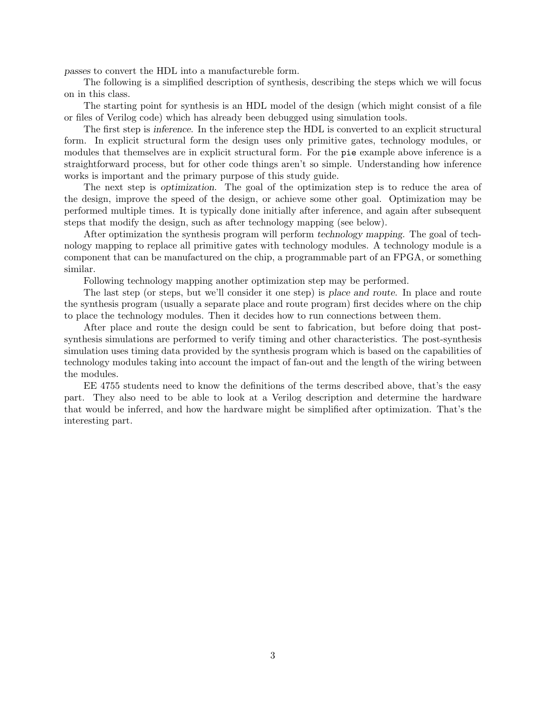passes to convert the HDL into a manufactureble form.

The following is a simplified description of synthesis, describing the steps which we will focus on in this class.

The starting point for synthesis is an HDL model of the design (which might consist of a file or files of Verilog code) which has already been debugged using simulation tools.

The first step is inference. In the inference step the HDL is converted to an explicit structural form. In explicit structural form the design uses only primitive gates, technology modules, or modules that themselves are in explicit structural form. For the pie example above inference is a straightforward process, but for other code things aren't so simple. Understanding how inference works is important and the primary purpose of this study guide.

The next step is optimization. The goal of the optimization step is to reduce the area of the design, improve the speed of the design, or achieve some other goal. Optimization may be performed multiple times. It is typically done initially after inference, and again after subsequent steps that modify the design, such as after technology mapping (see below).

After optimization the synthesis program will perform technology mapping. The goal of technology mapping to replace all primitive gates with technology modules. A technology module is a component that can be manufactured on the chip, a programmable part of an FPGA, or something similar.

Following technology mapping another optimization step may be performed.

The last step (or steps, but we'll consider it one step) is place and route. In place and route the synthesis program (usually a separate place and route program) first decides where on the chip to place the technology modules. Then it decides how to run connections between them.

After place and route the design could be sent to fabrication, but before doing that postsynthesis simulations are performed to verify timing and other characteristics. The post-synthesis simulation uses timing data provided by the synthesis program which is based on the capabilities of technology modules taking into account the impact of fan-out and the length of the wiring between the modules.

EE 4755 students need to know the definitions of the terms described above, that's the easy part. They also need to be able to look at a Verilog description and determine the hardware that would be inferred, and how the hardware might be simplified after optimization. That's the interesting part.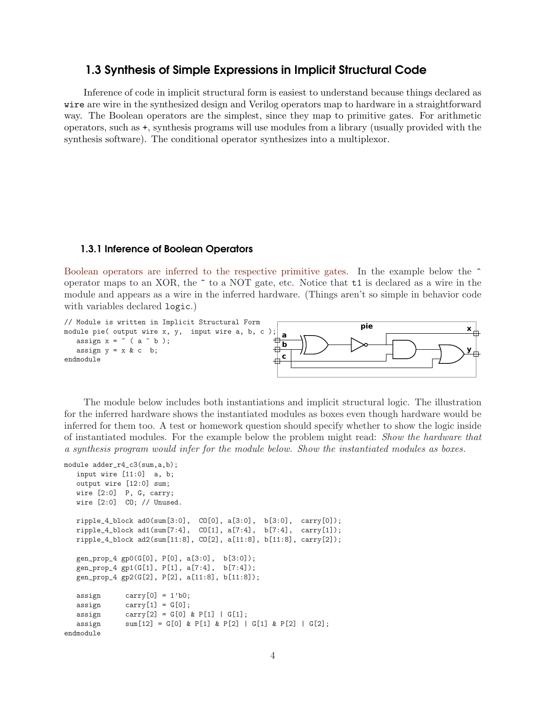# 1.3 Synthesis of Simple Expressions in Implicit Structural Code

Inference of code in implicit structural form is easiest to understand because things declared as wire are wire in the synthesized design and Verilog operators map to hardware in a straightforward way. The Boolean operators are the simplest, since they map to primitive gates. For arithmetic operators, such as +, synthesis programs will use modules from a library (usually provided with the synthesis software). The conditional operator synthesizes into a multiplexor.

### 1.3.1 Inference of Boolean Operators

Boolean operators are inferred to the respective primitive gates. In the example below the  $\hat{\ }$ operator maps to an XOR, the  $\tilde{\phantom{a}}$  to a NOT gate, etc. Notice that  $\tilde{\phantom{a}}$  to is declared as a wire in the module and appears as a wire in the inferred hardware. (Things aren't so simple in behavior code with variables declared logic.)



The module below includes both instantiations and implicit structural logic. The illustration for the inferred hardware shows the instantiated modules as boxes even though hardware would be inferred for them too. A test or homework question should specify whether to show the logic inside of instantiated modules. For the example below the problem might read: Show the hardware that a synthesis program would infer for the module below. Show the instantiated modules as boxes.

```
module adder_r4_c3(sum,a,b);
  input wire [11:0] a, b;
  output wire [12:0] sum;
  wire [2:0] P, G, carry;
  wire [2:0] CO; // Unused.
  ripple_4_block ad0(sum[3:0], CO[0], a[3:0], b[3:0], carry[0]);
  ripple_4_block ad1(sum[7:4], CO[1], a[7:4], b[7:4], carry[1]);
  ripple_4_block ad2(sum[11:8], CO[2], a[11:8], b[11:8], carry[2]);
  gen_prop_4 gp0(G[0], P[0], a[3:0], b[3:0]);
  gen_prop_4 gp1(G[1], P[1], a[7:4], b[7:4]);
  gen_prop_4 gp2(G[2], P[2], a[11:8], b[11:8]);
  assign carry[0] = 1'b0;\text{assign} \quad \text{carry}[1] = G[0];assign carry [2] = G[0] & P[1] | G[1];
  assign sum[12] = G[0] & P[1] & P[2] | G[1] & P[2] | G[2];endmodule
```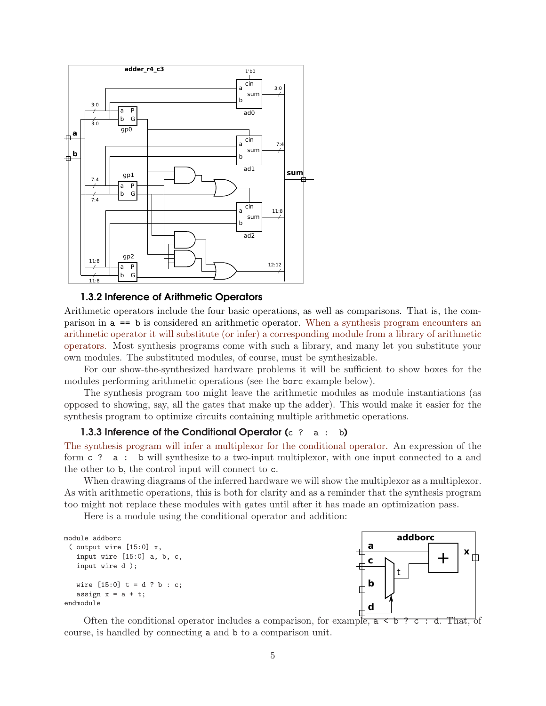

### 1.3.2 Inference of Arithmetic Operators

Arithmetic operators include the four basic operations, as well as comparisons. That is, the comparison in a == b is considered an arithmetic operator. When a synthesis program encounters an arithmetic operator it will substitute (or infer) a corresponding module from a library of arithmetic operators. Most synthesis programs come with such a library, and many let you substitute your own modules. The substituted modules, of course, must be synthesizable.

For our show-the-synthesized hardware problems it will be sufficient to show boxes for the modules performing arithmetic operations (see the borc example below).

The synthesis program too might leave the arithmetic modules as module instantiations (as opposed to showing, say, all the gates that make up the adder). This would make it easier for the synthesis program to optimize circuits containing multiple arithmetic operations.

#### 1.3.3 Inference of the Conditional Operator  $(c \t2 a : b)$

The synthesis program will infer a multiplexor for the conditional operator. An expression of the form c ? a : b will synthesize to a two-input multiplexor, with one input connected to a and the other to b, the control input will connect to c.

When drawing diagrams of the inferred hardware we will show the multiplexor as a multiplexor. As with arithmetic operations, this is both for clarity and as a reminder that the synthesis program too might not replace these modules with gates until after it has made an optimization pass.

Here is a module using the conditional operator and addition:

```
( output wire [15:0] x,
   input wire [15:0] a, b, c,
   input wire d );
   wire [15:0] t = d ? b : c;
   assign x = a + t;
endmodule
```


Often the conditional operator includes a comparison, for example,  $a \leq b$  ? c : d. That, of course, is handled by connecting a and b to a comparison unit.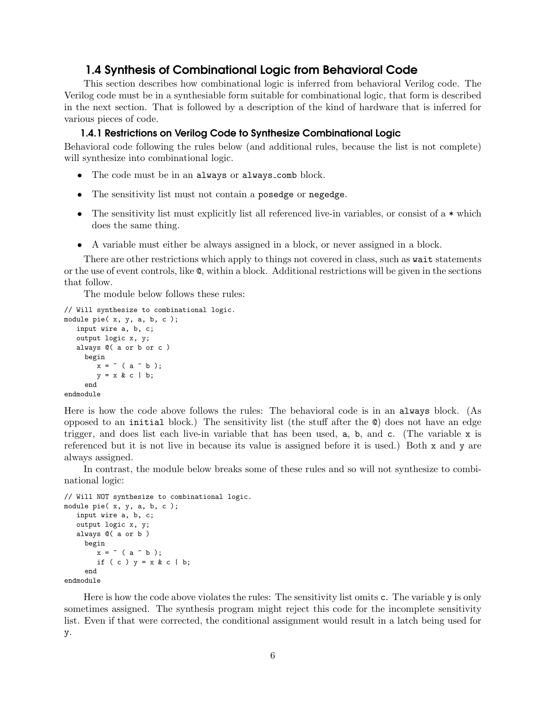# 1.4 Synthesis of Combinational Logic from Behavioral Code

This section describes how combinational logic is inferred from behavioral Verilog code. The Verilog code must be in a synthesiable form suitable for combinational logic, that form is described in the next section. That is followed by a description of the kind of hardware that is inferred for various pieces of code.

### 1.4.1 Restrictions on Verilog Code to Synthesize Combinational Logic

Behavioral code following the rules below (and additional rules, because the list is not complete) will synthesize into combinational logic.

- The code must be in an always or always comb block.
- The sensitivity list must not contain a posedge or negedge.
- The sensitivity list must explicitly list all referenced live-in variables, or consist of a \* which does the same thing.
- A variable must either be always assigned in a block, or never assigned in a block.

There are other restrictions which apply to things not covered in class, such as wait statements or the use of event controls, like @, within a block. Additional restrictions will be given in the sections that follow.

The module below follows these rules:

```
// Will synthesize to combinational logic.
module pie( x, y, a, b, c );
   input wire a, b, c;
   output logic x, y;
   always @( a or b or c )
     begin
        x = \text{``} (a \text{ 'b)};
        y = x & c \mid b;end
endmodule
```
Here is how the code above follows the rules: The behavioral code is in an always block. (As opposed to an initial block.) The sensitivity list (the stuff after the @) does not have an edge trigger, and does list each live-in variable that has been used,  $a$ ,  $b$ , and  $c$ . (The variable x is referenced but it is not live in because its value is assigned before it is used.) Both x and y are always assigned.

In contrast, the module below breaks some of these rules and so will not synthesize to combinational logic:

```
// Will NOT synthesize to combinational logic.
module pie( x, y, a, b, c );
   input wire a, b, c;
   output logic x, y;
   always @( a or b )
     begin
        x = \tilde{b} (a \hat{b});
        if ( c ) y = x & c \mid b;
     end
endmodule
```
Here is how the code above violates the rules: The sensitivity list omits c. The variable y is only sometimes assigned. The synthesis program might reject this code for the incomplete sensitivity list. Even if that were corrected, the conditional assignment would result in a latch being used for y.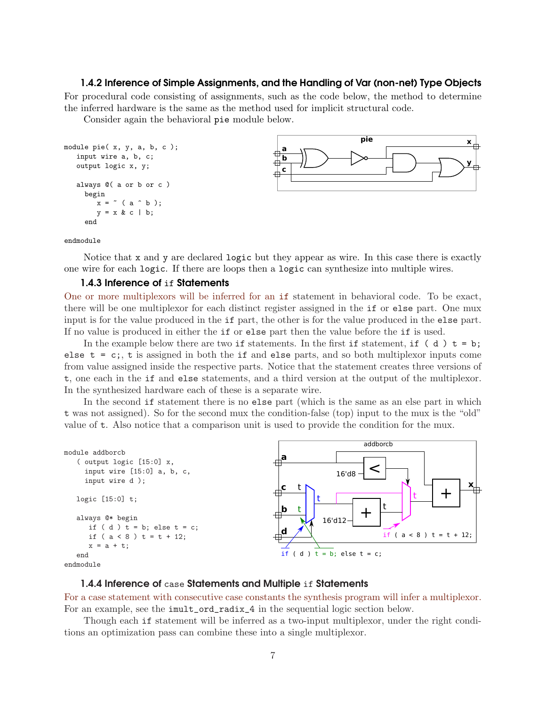### 1.4.2 Inference of Simple Assignments, and the Handling of Var (non-net) Type Objects

For procedural code consisting of assignments, such as the code below, the method to determine the inferred hardware is the same as the method used for implicit structural code.

Consider again the behavioral pie module below.

```
module pie( x, y, a, b, c );
   input wire a, b, c;
   output logic x, y;
   always @( a or b or c )
     begin
        x = \tilde{b} ( a \hat{b});
        y = x & c \mid b;end
```


endmodule

Notice that  $x$  and  $y$  are declared logic but they appear as wire. In this case there is exactly one wire for each logic. If there are loops then a logic can synthesize into multiple wires.

#### 1.4.3 Inference of if Statements

One or more multiplexors will be inferred for an if statement in behavioral code. To be exact, there will be one multiplexor for each distinct register assigned in the if or else part. One mux input is for the value produced in the if part, the other is for the value produced in the else part. If no value is produced in either the if or else part then the value before the if is used.

In the example below there are two if statements. In the first if statement, if (d)  $t = b$ ; else  $t = c$ ;, t is assigned in both the if and else parts, and so both multiplexor inputs come from value assigned inside the respective parts. Notice that the statement creates three versions of t, one each in the if and else statements, and a third version at the output of the multiplexor. In the synthesized hardware each of these is a separate wire.

In the second if statement there is no else part (which is the same as an else part in which t was not assigned). So for the second mux the condition-false (top) input to the mux is the "old" value of t. Also notice that a comparison unit is used to provide the condition for the mux.



### endmodule

### 1.4.4 Inference of case Statements and Multiple if Statements

For a case statement with consecutive case constants the synthesis program will infer a multiplexor. For an example, see the imult\_ord\_radix\_4 in the sequential logic section below.

Though each if statement will be inferred as a two-input multiplexor, under the right conditions an optimization pass can combine these into a single multiplexor.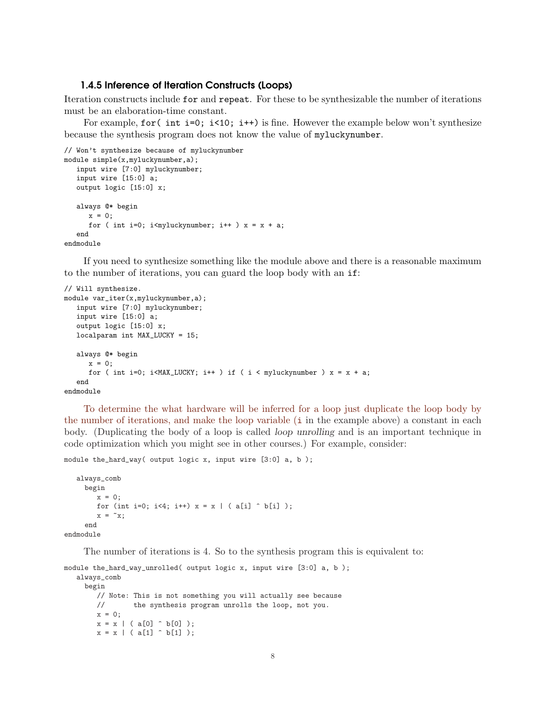### 1.4.5 Inference of Iteration Constructs (Loops)

Iteration constructs include for and repeat. For these to be synthesizable the number of iterations must be an elaboration-time constant.

For example, for (int i=0; i<10; i++) is fine. However the example below won't synthesize because the synthesis program does not know the value of myluckynumber.

```
// Won't synthesize because of myluckynumber
module simple(x,myluckynumber,a);
   input wire [7:0] myluckynumber;
   input wire [15:0] a;
   output logic [15:0] x;
   always @* begin
      x = 0:
      for ( int i=0; i\langle i\langlemyluckynumber; i++ ) x = x + a;
   end
endmodule
```
If you need to synthesize something like the module above and there is a reasonable maximum to the number of iterations, you can guard the loop body with an if:

```
// Will synthesize.
module var_iter(x,myluckynumber,a);
   input wire [7:0] myluckynumber;
   input wire [15:0] a;
   output logic [15:0] x;
  localparam int MAX_LUCKY = 15;
   always @* begin
     x = 0;for ( int i=0; i<MAX_LUCKY; i++ ) if ( i < myluckynumber ) x = x + a;
   end
endmodule
```
To determine the what hardware will be inferred for a loop just duplicate the loop body by the number of iterations, and make the loop variable (i in the example above) a constant in each body. (Duplicating the body of a loop is called loop unrolling and is an important technique in code optimization which you might see in other courses.) For example, consider:

```
module the_hard_way( output logic x, input wire [3:0] a, b );
```

```
always_comb
     begin
        x = 0;for (int i=0; i \le 4; i++) x = x \mid (a[i] \cap b[i]);
         x = \tilde{x};
     end
endmodule
```
The number of iterations is 4. So to the synthesis program this is equivalent to:

```
module the_hard_way_unrolled( output logic x, input wire [3:0] a, b );
   always_comb
     begin
        // Note: This is not something you will actually see because
        // the synthesis program unrolls the loop, not you.
        x = 0;
        x = x \mid (a[0] \cap b[0]);
        x = x \mid (a[1] \cap b[1]);
```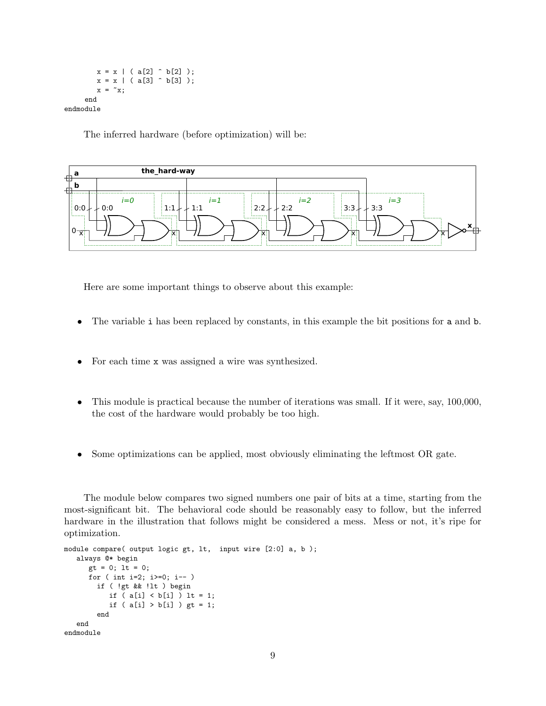$x = x \mid (a[2] \cap b[2])$ ;  $x = x \mid (a[3] \cap b[3])$ ;  $x = \tilde{x}$ ; end endmodule

The inferred hardware (before optimization) will be:



Here are some important things to observe about this example:

- The variable i has been replaced by constants, in this example the bit positions for a and b.
- For each time x was assigned a wire was synthesized.
- This module is practical because the number of iterations was small. If it were, say, 100,000, the cost of the hardware would probably be too high.
- Some optimizations can be applied, most obviously eliminating the leftmost OR gate.

The module below compares two signed numbers one pair of bits at a time, starting from the most-significant bit. The behavioral code should be reasonably easy to follow, but the inferred hardware in the illustration that follows might be considered a mess. Mess or not, it's ripe for optimization.

```
module compare( output logic gt, lt, input wire [2:0] a, b );
  always @* begin
     gt = 0; lt = 0;
     for ( int i=2; i>=0; i-- )
        if ( !gt && !lt ) begin
           if (a[i] < b[i]) ) lt = 1;
           if (a[i] > b[i]) gt = 1;end
  end
endmodule
```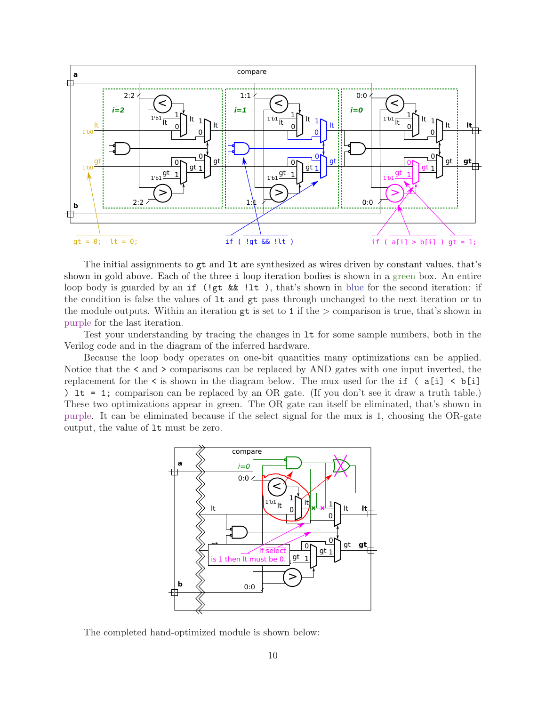

The initial assignments to gt and lt are synthesized as wires driven by constant values, that's shown in gold above. Each of the three i loop iteration bodies is shown in a green box. An entire loop body is guarded by an if (!gt && !1t), that's shown in blue for the second iteration: if the condition is false the values of lt and gt pass through unchanged to the next iteration or to the module outputs. Within an iteration  $gt$  is set to 1 if the  $>$  comparison is true, that's shown in purple for the last iteration.

Test your understanding by tracing the changes in lt for some sample numbers, both in the Verilog code and in the diagram of the inferred hardware.

Because the loop body operates on one-bit quantities many optimizations can be applied. Notice that the  $\leq$  and  $\geq$  comparisons can be replaced by AND gates with one input inverted, the replacement for the  $\leq$  is shown in the diagram below. The mux used for the if  $(a[i] \leq b[i])$ ) lt = 1; comparison can be replaced by an OR gate. (If you don't see it draw a truth table.) These two optimizations appear in green. The OR gate can itself be eliminated, that's shown in purple. It can be eliminated because if the select signal for the mux is 1, choosing the OR-gate output, the value of lt must be zero.



The completed hand-optimized module is shown below: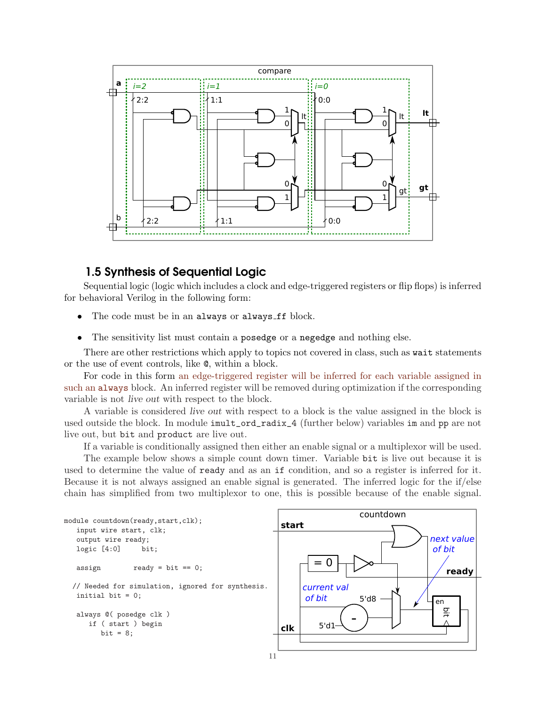

# 1.5 Synthesis of Sequential Logic

Sequential logic (logic which includes a clock and edge-triggered registers or flip flops) is inferred for behavioral Verilog in the following form:

- The code must be in an always or always ff block.
- The sensitivity list must contain a posedge or a negedge and nothing else.

There are other restrictions which apply to topics not covered in class, such as wait statements or the use of event controls, like @, within a block.

For code in this form an edge-triggered register will be inferred for each variable assigned in such an always block. An inferred register will be removed during optimization if the corresponding variable is not live out with respect to the block.

A variable is considered live out with respect to a block is the value assigned in the block is used outside the block. In module imult\_ord\_radix\_4 (further below) variables im and pp are not live out, but bit and product are live out.

If a variable is conditionally assigned then either an enable signal or a multiplexor will be used.

The example below shows a simple count down timer. Variable bit is live out because it is used to determine the value of ready and as an if condition, and so a register is inferred for it. Because it is not always assigned an enable signal is generated. The inferred logic for the if/else chain has simplified from two multiplexor to one, this is possible because of the enable signal.



bit

ready

next value of bit

en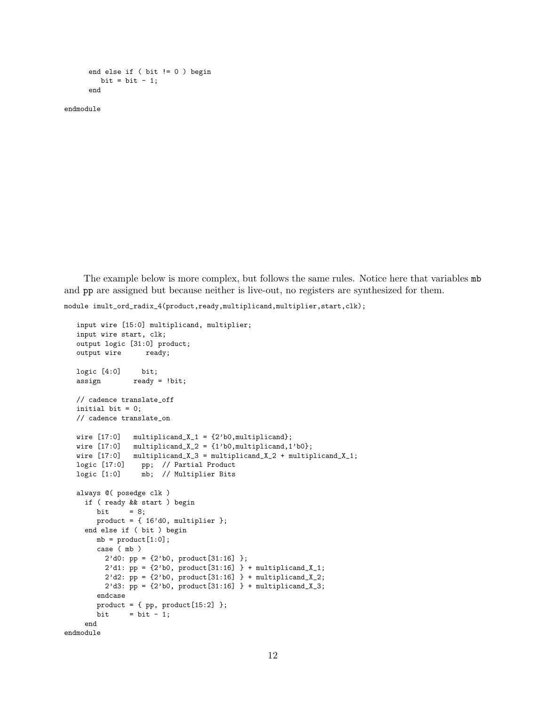```
end else if ( bit != 0 ) begin
  bit = bit - 1;
end
```
endmodule

The example below is more complex, but follows the same rules. Notice here that variables mb and pp are assigned but because neither is live-out, no registers are synthesized for them.

module imult\_ord\_radix\_4(product,ready,multiplicand,multiplier,start,clk);

```
input wire [15:0] multiplicand, multiplier;
  input wire start, clk;
  output logic [31:0] product;
  output wire ready;
  logic [4:0] bit;
  assign ready = !bit;
  // cadence translate_off
  initial bit = 0;
  // cadence translate_on
  wire [17:0] multiplicand_X_1 = \{2'b0, multiplicand};
  wire [17:0] multiplicand_X_2 = \{1'b0, multiplicand, 1'b0};
  wire [17:0] multiplicand_X_3 = multiplicand_X_2 + multiplicand_X_1;
  logic [17:0] pp; // Partial Product
  logic [1:0] mb; // Multiplier Bits
  always @( posedge clk )
    if ( ready && start ) begin
       bit = 8;
       product = { 16'd0, multiplier };
    end else if ( bit ) begin
       mb = product[1:0];case ( mb )
         2'd0: pp = {2'b0, product[31:16] };
         2'd1: pp = {2'b0}, product[31:16] } + multiplicand_X_1;
         2'd2: pp = {2'b0, product[31:16] } + multiplicationd_X^2;2'd3: pp = {2'b0, product[31:16] } + multiplicand_X_3;
       endcase
       product = \{ pp, product[15:2] \};
       bit = bit - 1;
    end
endmodule
```